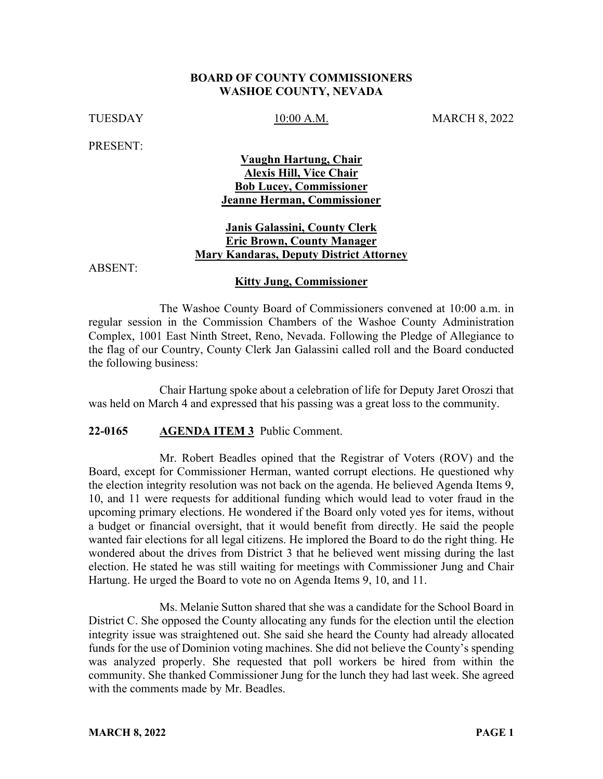#### **BOARD OF COUNTY COMMISSIONERS WASHOE COUNTY, NEVADA**

TUESDAY 10:00 A.M. MARCH 8, 2022

PRESENT:

# **Vaughn Hartung, Chair Alexis Hill, Vice Chair Bob Lucey, Commissioner Jeanne Herman, Commissioner**

## **Janis Galassini, County Clerk Eric Brown, County Manager Mary Kandaras, Deputy District Attorney**

ABSENT:

### **Kitty Jung, Commissioner**

The Washoe County Board of Commissioners convened at 10:00 a.m. in regular session in the Commission Chambers of the Washoe County Administration Complex, 1001 East Ninth Street, Reno, Nevada. Following the Pledge of Allegiance to the flag of our Country, County Clerk Jan Galassini called roll and the Board conducted the following business:

Chair Hartung spoke about a celebration of life for Deputy Jaret Oroszi that was held on March 4 and expressed that his passing was a great loss to the community.

### **22-0165 AGENDA ITEM 3** Public Comment.

Mr. Robert Beadles opined that the Registrar of Voters (ROV) and the Board, except for Commissioner Herman, wanted corrupt elections. He questioned why the election integrity resolution was not back on the agenda. He believed Agenda Items 9, 10, and 11 were requests for additional funding which would lead to voter fraud in the upcoming primary elections. He wondered if the Board only voted yes for items, without a budget or financial oversight, that it would benefit from directly. He said the people wanted fair elections for all legal citizens. He implored the Board to do the right thing. He wondered about the drives from District 3 that he believed went missing during the last election. He stated he was still waiting for meetings with Commissioner Jung and Chair Hartung. He urged the Board to vote no on Agenda Items 9, 10, and 11.

Ms. Melanie Sutton shared that she was a candidate for the School Board in District C. She opposed the County allocating any funds for the election until the election integrity issue was straightened out. She said she heard the County had already allocated funds for the use of Dominion voting machines. She did not believe the County's spending was analyzed properly. She requested that poll workers be hired from within the community. She thanked Commissioner Jung for the lunch they had last week. She agreed with the comments made by Mr. Beadles.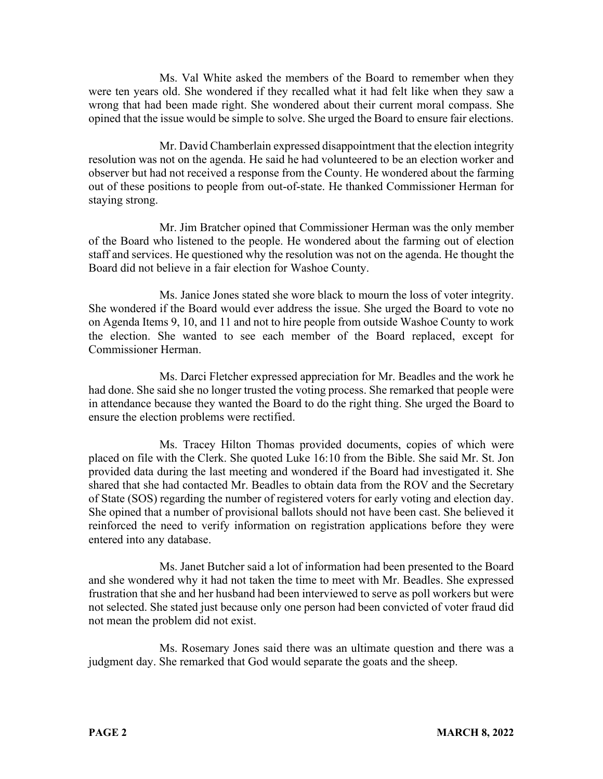Ms. Val White asked the members of the Board to remember when they were ten years old. She wondered if they recalled what it had felt like when they saw a wrong that had been made right. She wondered about their current moral compass. She opined that the issue would be simple to solve. She urged the Board to ensure fair elections.

Mr. David Chamberlain expressed disappointment that the election integrity resolution was not on the agenda. He said he had volunteered to be an election worker and observer but had not received a response from the County. He wondered about the farming out of these positions to people from out-of-state. He thanked Commissioner Herman for staying strong.

Mr. Jim Bratcher opined that Commissioner Herman was the only member of the Board who listened to the people. He wondered about the farming out of election staff and services. He questioned why the resolution was not on the agenda. He thought the Board did not believe in a fair election for Washoe County.

Ms. Janice Jones stated she wore black to mourn the loss of voter integrity. She wondered if the Board would ever address the issue. She urged the Board to vote no on Agenda Items 9, 10, and 11 and not to hire people from outside Washoe County to work the election. She wanted to see each member of the Board replaced, except for Commissioner Herman.

Ms. Darci Fletcher expressed appreciation for Mr. Beadles and the work he had done. She said she no longer trusted the voting process. She remarked that people were in attendance because they wanted the Board to do the right thing. She urged the Board to ensure the election problems were rectified.

Ms. Tracey Hilton Thomas provided documents, copies of which were placed on file with the Clerk. She quoted Luke 16:10 from the Bible. She said Mr. St. Jon provided data during the last meeting and wondered if the Board had investigated it. She shared that she had contacted Mr. Beadles to obtain data from the ROV and the Secretary of State (SOS) regarding the number of registered voters for early voting and election day. She opined that a number of provisional ballots should not have been cast. She believed it reinforced the need to verify information on registration applications before they were entered into any database.

Ms. Janet Butcher said a lot of information had been presented to the Board and she wondered why it had not taken the time to meet with Mr. Beadles. She expressed frustration that she and her husband had been interviewed to serve as poll workers but were not selected. She stated just because only one person had been convicted of voter fraud did not mean the problem did not exist.

Ms. Rosemary Jones said there was an ultimate question and there was a judgment day. She remarked that God would separate the goats and the sheep.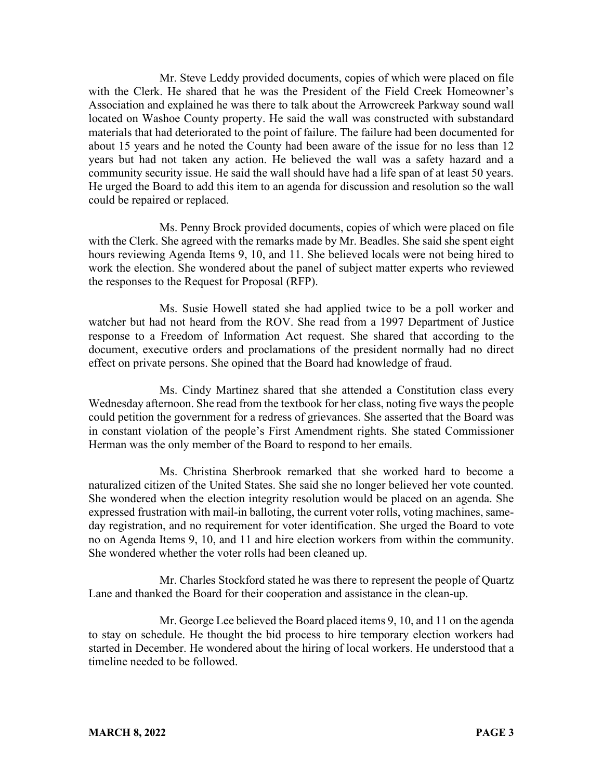Mr. Steve Leddy provided documents, copies of which were placed on file with the Clerk. He shared that he was the President of the Field Creek Homeowner's Association and explained he was there to talk about the Arrowcreek Parkway sound wall located on Washoe County property. He said the wall was constructed with substandard materials that had deteriorated to the point of failure. The failure had been documented for about 15 years and he noted the County had been aware of the issue for no less than 12 years but had not taken any action. He believed the wall was a safety hazard and a community security issue. He said the wall should have had a life span of at least 50 years. He urged the Board to add this item to an agenda for discussion and resolution so the wall could be repaired or replaced.

Ms. Penny Brock provided documents, copies of which were placed on file with the Clerk. She agreed with the remarks made by Mr. Beadles. She said she spent eight hours reviewing Agenda Items 9, 10, and 11. She believed locals were not being hired to work the election. She wondered about the panel of subject matter experts who reviewed the responses to the Request for Proposal (RFP).

Ms. Susie Howell stated she had applied twice to be a poll worker and watcher but had not heard from the ROV. She read from a 1997 Department of Justice response to a Freedom of Information Act request. She shared that according to the document, executive orders and proclamations of the president normally had no direct effect on private persons. She opined that the Board had knowledge of fraud.

Ms. Cindy Martinez shared that she attended a Constitution class every Wednesday afternoon. She read from the textbook for her class, noting five ways the people could petition the government for a redress of grievances. She asserted that the Board was in constant violation of the people's First Amendment rights. She stated Commissioner Herman was the only member of the Board to respond to her emails.

Ms. Christina Sherbrook remarked that she worked hard to become a naturalized citizen of the United States. She said she no longer believed her vote counted. She wondered when the election integrity resolution would be placed on an agenda. She expressed frustration with mail-in balloting, the current voter rolls, voting machines, sameday registration, and no requirement for voter identification. She urged the Board to vote no on Agenda Items 9, 10, and 11 and hire election workers from within the community. She wondered whether the voter rolls had been cleaned up.

Mr. Charles Stockford stated he was there to represent the people of Quartz Lane and thanked the Board for their cooperation and assistance in the clean-up.

Mr. George Lee believed the Board placed items 9, 10, and 11 on the agenda to stay on schedule. He thought the bid process to hire temporary election workers had started in December. He wondered about the hiring of local workers. He understood that a timeline needed to be followed.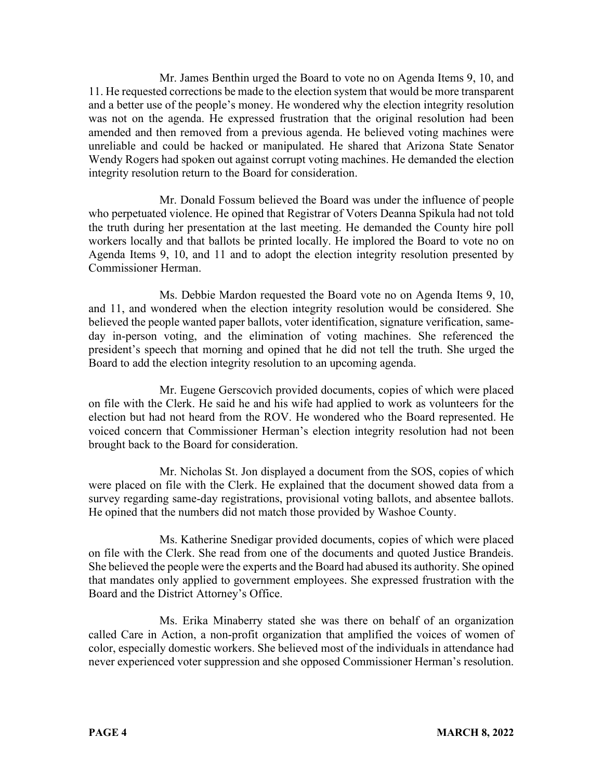Mr. James Benthin urged the Board to vote no on Agenda Items 9, 10, and 11. He requested corrections be made to the election system that would be more transparent and a better use of the people's money. He wondered why the election integrity resolution was not on the agenda. He expressed frustration that the original resolution had been amended and then removed from a previous agenda. He believed voting machines were unreliable and could be hacked or manipulated. He shared that Arizona State Senator Wendy Rogers had spoken out against corrupt voting machines. He demanded the election integrity resolution return to the Board for consideration.

Mr. Donald Fossum believed the Board was under the influence of people who perpetuated violence. He opined that Registrar of Voters Deanna Spikula had not told the truth during her presentation at the last meeting. He demanded the County hire poll workers locally and that ballots be printed locally. He implored the Board to vote no on Agenda Items 9, 10, and 11 and to adopt the election integrity resolution presented by Commissioner Herman.

Ms. Debbie Mardon requested the Board vote no on Agenda Items 9, 10, and 11, and wondered when the election integrity resolution would be considered. She believed the people wanted paper ballots, voter identification, signature verification, sameday in-person voting, and the elimination of voting machines. She referenced the president's speech that morning and opined that he did not tell the truth. She urged the Board to add the election integrity resolution to an upcoming agenda.

Mr. Eugene Gerscovich provided documents, copies of which were placed on file with the Clerk. He said he and his wife had applied to work as volunteers for the election but had not heard from the ROV. He wondered who the Board represented. He voiced concern that Commissioner Herman's election integrity resolution had not been brought back to the Board for consideration.

Mr. Nicholas St. Jon displayed a document from the SOS, copies of which were placed on file with the Clerk. He explained that the document showed data from a survey regarding same-day registrations, provisional voting ballots, and absentee ballots. He opined that the numbers did not match those provided by Washoe County.

Ms. Katherine Snedigar provided documents, copies of which were placed on file with the Clerk. She read from one of the documents and quoted Justice Brandeis. She believed the people were the experts and the Board had abused its authority. She opined that mandates only applied to government employees. She expressed frustration with the Board and the District Attorney's Office.

Ms. Erika Minaberry stated she was there on behalf of an organization called Care in Action, a non-profit organization that amplified the voices of women of color, especially domestic workers. She believed most of the individuals in attendance had never experienced voter suppression and she opposed Commissioner Herman's resolution.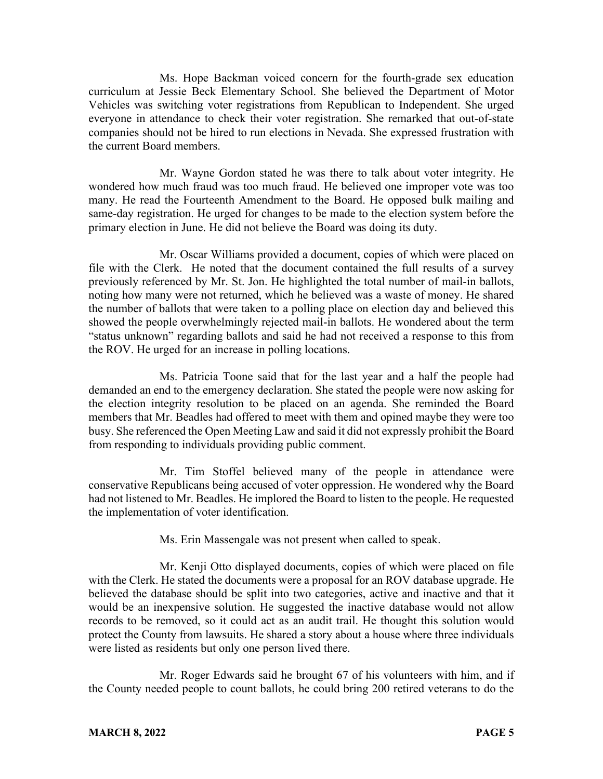Ms. Hope Backman voiced concern for the fourth-grade sex education curriculum at Jessie Beck Elementary School. She believed the Department of Motor Vehicles was switching voter registrations from Republican to Independent. She urged everyone in attendance to check their voter registration. She remarked that out-of-state companies should not be hired to run elections in Nevada. She expressed frustration with the current Board members.

Mr. Wayne Gordon stated he was there to talk about voter integrity. He wondered how much fraud was too much fraud. He believed one improper vote was too many. He read the Fourteenth Amendment to the Board. He opposed bulk mailing and same-day registration. He urged for changes to be made to the election system before the primary election in June. He did not believe the Board was doing its duty.

Mr. Oscar Williams provided a document, copies of which were placed on file with the Clerk. He noted that the document contained the full results of a survey previously referenced by Mr. St. Jon. He highlighted the total number of mail-in ballots, noting how many were not returned, which he believed was a waste of money. He shared the number of ballots that were taken to a polling place on election day and believed this showed the people overwhelmingly rejected mail-in ballots. He wondered about the term "status unknown" regarding ballots and said he had not received a response to this from the ROV. He urged for an increase in polling locations.

Ms. Patricia Toone said that for the last year and a half the people had demanded an end to the emergency declaration. She stated the people were now asking for the election integrity resolution to be placed on an agenda. She reminded the Board members that Mr. Beadles had offered to meet with them and opined maybe they were too busy. She referenced the Open Meeting Law and said it did not expressly prohibit the Board from responding to individuals providing public comment.

Mr. Tim Stoffel believed many of the people in attendance were conservative Republicans being accused of voter oppression. He wondered why the Board had not listened to Mr. Beadles. He implored the Board to listen to the people. He requested the implementation of voter identification.

Ms. Erin Massengale was not present when called to speak.

Mr. Kenji Otto displayed documents, copies of which were placed on file with the Clerk. He stated the documents were a proposal for an ROV database upgrade. He believed the database should be split into two categories, active and inactive and that it would be an inexpensive solution. He suggested the inactive database would not allow records to be removed, so it could act as an audit trail. He thought this solution would protect the County from lawsuits. He shared a story about a house where three individuals were listed as residents but only one person lived there.

Mr. Roger Edwards said he brought 67 of his volunteers with him, and if the County needed people to count ballots, he could bring 200 retired veterans to do the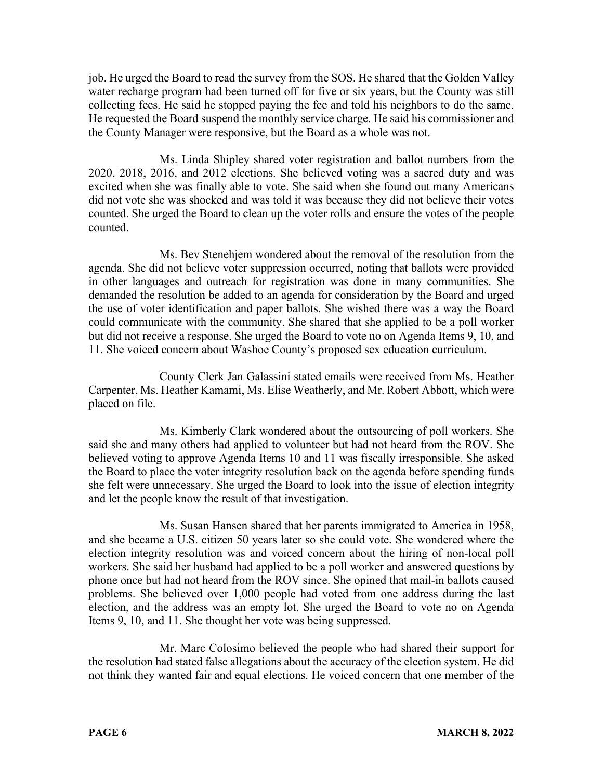job. He urged the Board to read the survey from the SOS. He shared that the Golden Valley water recharge program had been turned off for five or six years, but the County was still collecting fees. He said he stopped paying the fee and told his neighbors to do the same. He requested the Board suspend the monthly service charge. He said his commissioner and the County Manager were responsive, but the Board as a whole was not.

Ms. Linda Shipley shared voter registration and ballot numbers from the 2020, 2018, 2016, and 2012 elections. She believed voting was a sacred duty and was excited when she was finally able to vote. She said when she found out many Americans did not vote she was shocked and was told it was because they did not believe their votes counted. She urged the Board to clean up the voter rolls and ensure the votes of the people counted.

Ms. Bev Stenehjem wondered about the removal of the resolution from the agenda. She did not believe voter suppression occurred, noting that ballots were provided in other languages and outreach for registration was done in many communities. She demanded the resolution be added to an agenda for consideration by the Board and urged the use of voter identification and paper ballots. She wished there was a way the Board could communicate with the community. She shared that she applied to be a poll worker but did not receive a response. She urged the Board to vote no on Agenda Items 9, 10, and 11. She voiced concern about Washoe County's proposed sex education curriculum.

County Clerk Jan Galassini stated emails were received from Ms. Heather Carpenter, Ms. Heather Kamami, Ms. Elise Weatherly, and Mr. Robert Abbott, which were placed on file.

Ms. Kimberly Clark wondered about the outsourcing of poll workers. She said she and many others had applied to volunteer but had not heard from the ROV. She believed voting to approve Agenda Items 10 and 11 was fiscally irresponsible. She asked the Board to place the voter integrity resolution back on the agenda before spending funds she felt were unnecessary. She urged the Board to look into the issue of election integrity and let the people know the result of that investigation.

Ms. Susan Hansen shared that her parents immigrated to America in 1958, and she became a U.S. citizen 50 years later so she could vote. She wondered where the election integrity resolution was and voiced concern about the hiring of non-local poll workers. She said her husband had applied to be a poll worker and answered questions by phone once but had not heard from the ROV since. She opined that mail-in ballots caused problems. She believed over 1,000 people had voted from one address during the last election, and the address was an empty lot. She urged the Board to vote no on Agenda Items 9, 10, and 11. She thought her vote was being suppressed.

Mr. Marc Colosimo believed the people who had shared their support for the resolution had stated false allegations about the accuracy of the election system. He did not think they wanted fair and equal elections. He voiced concern that one member of the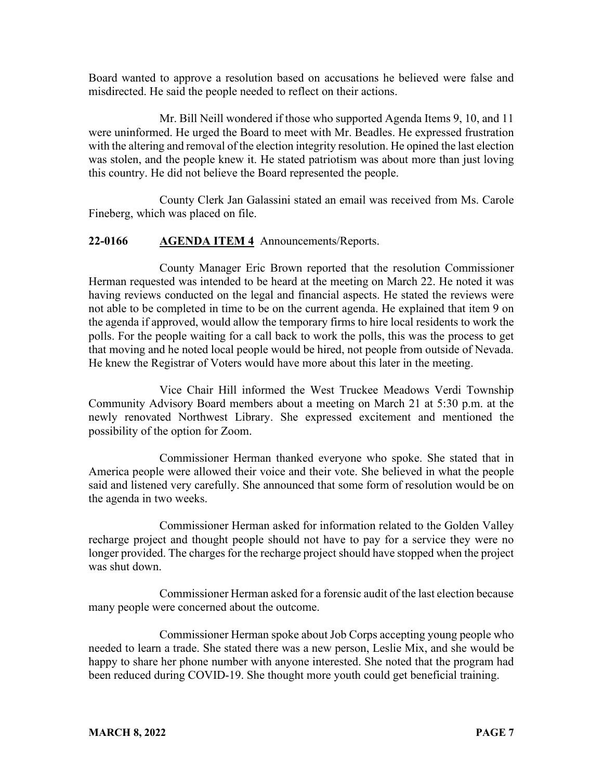Board wanted to approve a resolution based on accusations he believed were false and misdirected. He said the people needed to reflect on their actions.

Mr. Bill Neill wondered if those who supported Agenda Items 9, 10, and 11 were uninformed. He urged the Board to meet with Mr. Beadles. He expressed frustration with the altering and removal of the election integrity resolution. He opined the last election was stolen, and the people knew it. He stated patriotism was about more than just loving this country. He did not believe the Board represented the people.

County Clerk Jan Galassini stated an email was received from Ms. Carole Fineberg, which was placed on file.

### **22-0166 AGENDA ITEM 4** Announcements/Reports.

County Manager Eric Brown reported that the resolution Commissioner Herman requested was intended to be heard at the meeting on March 22. He noted it was having reviews conducted on the legal and financial aspects. He stated the reviews were not able to be completed in time to be on the current agenda. He explained that item 9 on the agenda if approved, would allow the temporary firms to hire local residents to work the polls. For the people waiting for a call back to work the polls, this was the process to get that moving and he noted local people would be hired, not people from outside of Nevada. He knew the Registrar of Voters would have more about this later in the meeting.

Vice Chair Hill informed the West Truckee Meadows Verdi Township Community Advisory Board members about a meeting on March 21 at 5:30 p.m. at the newly renovated Northwest Library. She expressed excitement and mentioned the possibility of the option for Zoom.

Commissioner Herman thanked everyone who spoke. She stated that in America people were allowed their voice and their vote. She believed in what the people said and listened very carefully. She announced that some form of resolution would be on the agenda in two weeks.

Commissioner Herman asked for information related to the Golden Valley recharge project and thought people should not have to pay for a service they were no longer provided. The charges for the recharge project should have stopped when the project was shut down.

Commissioner Herman asked for a forensic audit of the last election because many people were concerned about the outcome.

Commissioner Herman spoke about Job Corps accepting young people who needed to learn a trade. She stated there was a new person, Leslie Mix, and she would be happy to share her phone number with anyone interested. She noted that the program had been reduced during COVID-19. She thought more youth could get beneficial training.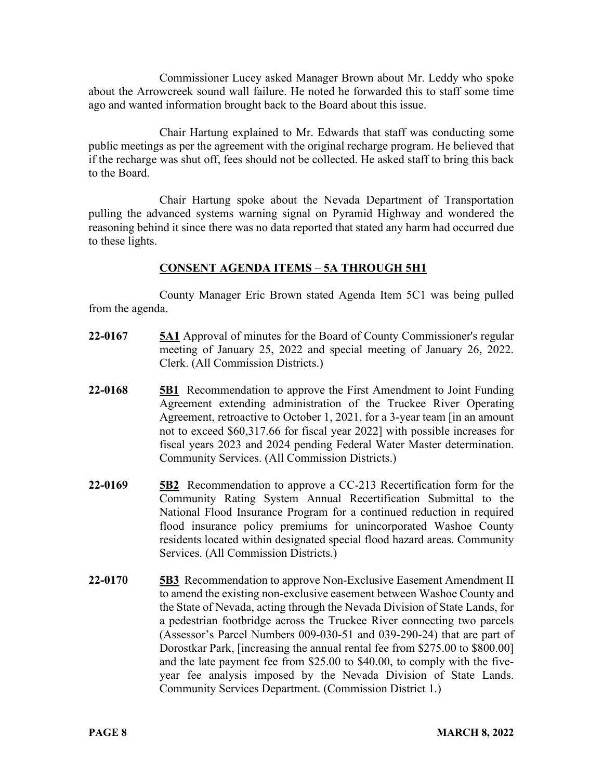Commissioner Lucey asked Manager Brown about Mr. Leddy who spoke about the Arrowcreek sound wall failure. He noted he forwarded this to staff some time ago and wanted information brought back to the Board about this issue.

Chair Hartung explained to Mr. Edwards that staff was conducting some public meetings as per the agreement with the original recharge program. He believed that if the recharge was shut off, fees should not be collected. He asked staff to bring this back to the Board.

Chair Hartung spoke about the Nevada Department of Transportation pulling the advanced systems warning signal on Pyramid Highway and wondered the reasoning behind it since there was no data reported that stated any harm had occurred due to these lights.

# **CONSENT AGENDA ITEMS** – **5A THROUGH 5H1**

 County Manager Eric Brown stated Agenda Item 5C1 was being pulled from the agenda.

- **22-0167 5A1** Approval of minutes for the Board of County Commissioner's regular meeting of January 25, 2022 and special meeting of January 26, 2022. Clerk. (All Commission Districts.)
- **22-0168 5B1** Recommendation to approve the First Amendment to Joint Funding Agreement extending administration of the Truckee River Operating Agreement, retroactive to October 1, 2021, for a 3-year team [in an amount not to exceed \$60,317.66 for fiscal year 2022] with possible increases for fiscal years 2023 and 2024 pending Federal Water Master determination. Community Services. (All Commission Districts.)
- **22-0169 5B2** Recommendation to approve a CC-213 Recertification form for the Community Rating System Annual Recertification Submittal to the National Flood Insurance Program for a continued reduction in required flood insurance policy premiums for unincorporated Washoe County residents located within designated special flood hazard areas. Community Services. (All Commission Districts.)
- **22-0170 5B3** Recommendation to approve Non-Exclusive Easement Amendment II to amend the existing non-exclusive easement between Washoe County and the State of Nevada, acting through the Nevada Division of State Lands, for a pedestrian footbridge across the Truckee River connecting two parcels (Assessor's Parcel Numbers 009-030-51 and 039-290-24) that are part of Dorostkar Park, [increasing the annual rental fee from \$275.00 to \$800.00] and the late payment fee from \$25.00 to \$40.00, to comply with the fiveyear fee analysis imposed by the Nevada Division of State Lands. Community Services Department. (Commission District 1.)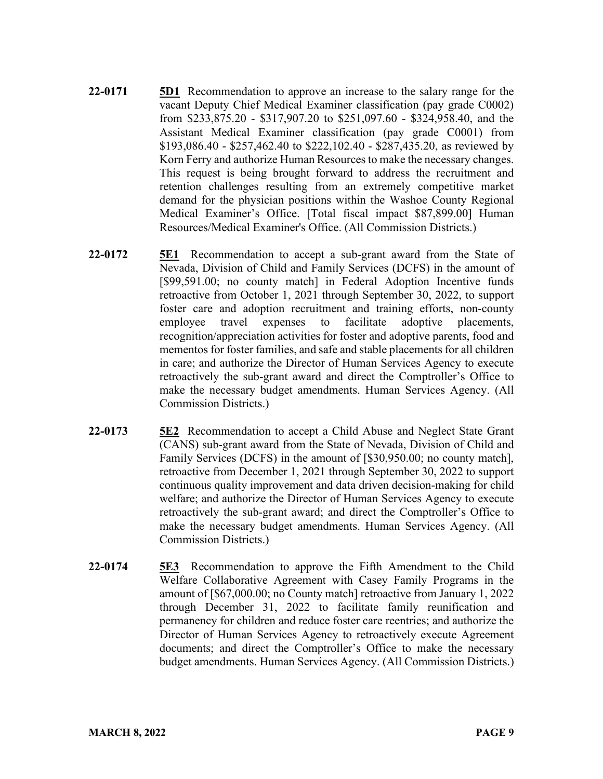- **22-0171 5D1** Recommendation to approve an increase to the salary range for the vacant Deputy Chief Medical Examiner classification (pay grade C0002) from \$233,875.20 - \$317,907.20 to \$251,097.60 - \$324,958.40, and the Assistant Medical Examiner classification (pay grade C0001) from \$193,086.40 - \$257,462.40 to \$222,102.40 - \$287,435.20, as reviewed by Korn Ferry and authorize Human Resources to make the necessary changes. This request is being brought forward to address the recruitment and retention challenges resulting from an extremely competitive market demand for the physician positions within the Washoe County Regional Medical Examiner's Office. [Total fiscal impact \$87,899.00] Human Resources/Medical Examiner's Office. (All Commission Districts.)
- **22-0172 5E1** Recommendation to accept a sub-grant award from the State of Nevada, Division of Child and Family Services (DCFS) in the amount of [\$99,591.00; no county match] in Federal Adoption Incentive funds retroactive from October 1, 2021 through September 30, 2022, to support foster care and adoption recruitment and training efforts, non-county employee travel expenses to facilitate adoptive placements, recognition/appreciation activities for foster and adoptive parents, food and mementos for foster families, and safe and stable placements for all children in care; and authorize the Director of Human Services Agency to execute retroactively the sub-grant award and direct the Comptroller's Office to make the necessary budget amendments. Human Services Agency. (All Commission Districts.)
- **22-0173 5E2** Recommendation to accept a Child Abuse and Neglect State Grant (CANS) sub-grant award from the State of Nevada, Division of Child and Family Services (DCFS) in the amount of [\$30,950.00; no county match], retroactive from December 1, 2021 through September 30, 2022 to support continuous quality improvement and data driven decision-making for child welfare; and authorize the Director of Human Services Agency to execute retroactively the sub-grant award; and direct the Comptroller's Office to make the necessary budget amendments. Human Services Agency. (All Commission Districts.)
- **22-0174 5E3** Recommendation to approve the Fifth Amendment to the Child Welfare Collaborative Agreement with Casey Family Programs in the amount of [\$67,000.00; no County match] retroactive from January 1, 2022 through December 31, 2022 to facilitate family reunification and permanency for children and reduce foster care reentries; and authorize the Director of Human Services Agency to retroactively execute Agreement documents; and direct the Comptroller's Office to make the necessary budget amendments. Human Services Agency. (All Commission Districts.)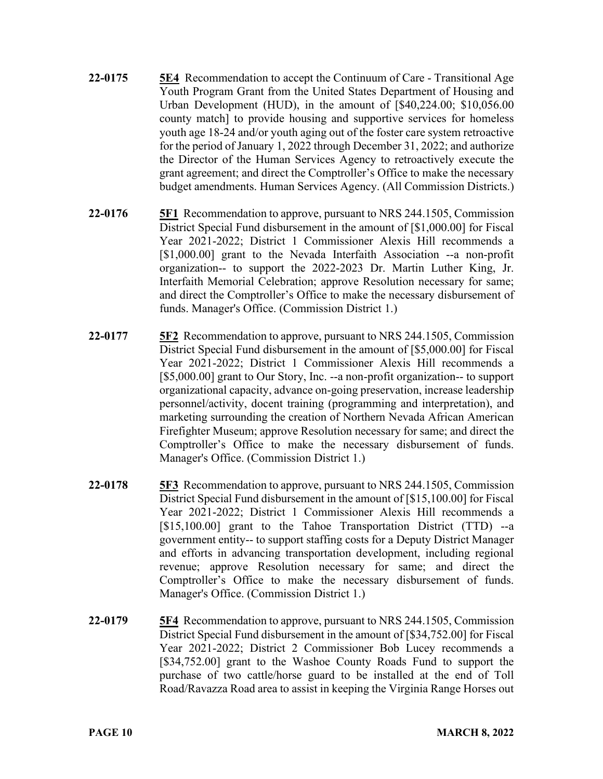- 22-0175 **5E4** Recommendation to accept the Continuum of Care Transitional Age Youth Program Grant from the United States Department of Housing and Urban Development (HUD), in the amount of [\$40,224.00; \$10,056.00 county match] to provide housing and supportive services for homeless youth age 18-24 and/or youth aging out of the foster care system retroactive for the period of January 1, 2022 through December 31, 2022; and authorize the Director of the Human Services Agency to retroactively execute the grant agreement; and direct the Comptroller's Office to make the necessary budget amendments. Human Services Agency. (All Commission Districts.)
- **22-0176 5F1** Recommendation to approve, pursuant to NRS 244.1505, Commission District Special Fund disbursement in the amount of [\$1,000.00] for Fiscal Year 2021-2022; District 1 Commissioner Alexis Hill recommends a [\$1,000.00] grant to the Nevada Interfaith Association --a non-profit organization-- to support the 2022-2023 Dr. Martin Luther King, Jr. Interfaith Memorial Celebration; approve Resolution necessary for same; and direct the Comptroller's Office to make the necessary disbursement of funds. Manager's Office. (Commission District 1.)
- **22-0177 5F2** Recommendation to approve, pursuant to NRS 244.1505, Commission District Special Fund disbursement in the amount of [\$5,000.00] for Fiscal Year 2021-2022; District 1 Commissioner Alexis Hill recommends a [\$5,000.00] grant to Our Story, Inc. --a non-profit organization-- to support organizational capacity, advance on-going preservation, increase leadership personnel/activity, docent training (programming and interpretation), and marketing surrounding the creation of Northern Nevada African American Firefighter Museum; approve Resolution necessary for same; and direct the Comptroller's Office to make the necessary disbursement of funds. Manager's Office. (Commission District 1.)
- **22-0178 5F3** Recommendation to approve, pursuant to NRS 244.1505, Commission District Special Fund disbursement in the amount of [\$15,100.00] for Fiscal Year 2021-2022; District 1 Commissioner Alexis Hill recommends a [\$15,100.00] grant to the Tahoe Transportation District (TTD) --a government entity-- to support staffing costs for a Deputy District Manager and efforts in advancing transportation development, including regional revenue; approve Resolution necessary for same; and direct the Comptroller's Office to make the necessary disbursement of funds. Manager's Office. (Commission District 1.)
- **22-0179 5F4** Recommendation to approve, pursuant to NRS 244.1505, Commission District Special Fund disbursement in the amount of [\$34,752.00] for Fiscal Year 2021-2022; District 2 Commissioner Bob Lucey recommends a [\$34,752.00] grant to the Washoe County Roads Fund to support the purchase of two cattle/horse guard to be installed at the end of Toll Road/Ravazza Road area to assist in keeping the Virginia Range Horses out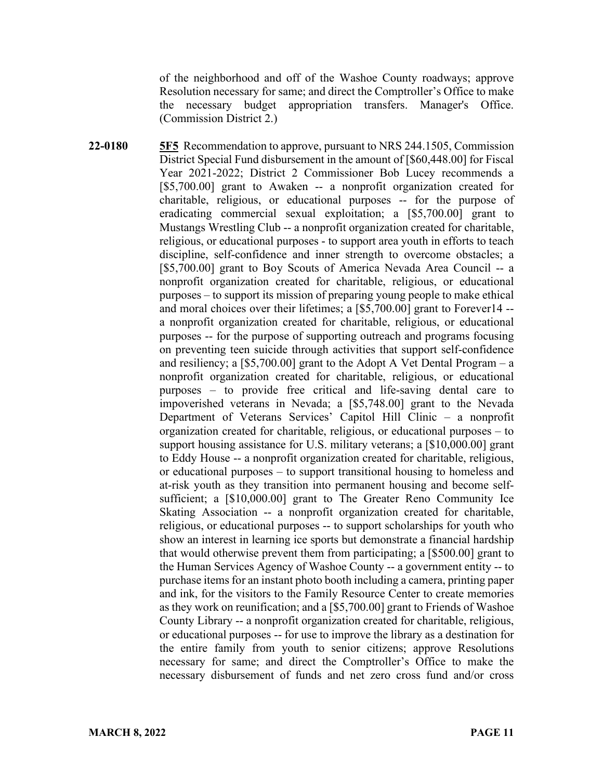of the neighborhood and off of the Washoe County roadways; approve Resolution necessary for same; and direct the Comptroller's Office to make the necessary budget appropriation transfers. Manager's Office. (Commission District 2.)

**22-0180 5F5** Recommendation to approve, pursuant to NRS 244.1505, Commission District Special Fund disbursement in the amount of [\$60,448.00] for Fiscal Year 2021-2022; District 2 Commissioner Bob Lucey recommends a [\$5,700.00] grant to Awaken -- a nonprofit organization created for charitable, religious, or educational purposes -- for the purpose of eradicating commercial sexual exploitation; a [\$5,700.00] grant to Mustangs Wrestling Club -- a nonprofit organization created for charitable, religious, or educational purposes - to support area youth in efforts to teach discipline, self-confidence and inner strength to overcome obstacles; a [\$5,700.00] grant to Boy Scouts of America Nevada Area Council -- a nonprofit organization created for charitable, religious, or educational purposes – to support its mission of preparing young people to make ethical and moral choices over their lifetimes; a [\$5,700.00] grant to Forever14 - a nonprofit organization created for charitable, religious, or educational purposes -- for the purpose of supporting outreach and programs focusing on preventing teen suicide through activities that support self-confidence and resiliency; a  $[$5,700.00]$  grant to the Adopt A Vet Dental Program – a nonprofit organization created for charitable, religious, or educational purposes – to provide free critical and life-saving dental care to impoverished veterans in Nevada; a [\$5,748.00] grant to the Nevada Department of Veterans Services' Capitol Hill Clinic – a nonprofit organization created for charitable, religious, or educational purposes – to support housing assistance for U.S. military veterans; a [\$10,000.00] grant to Eddy House -- a nonprofit organization created for charitable, religious, or educational purposes – to support transitional housing to homeless and at-risk youth as they transition into permanent housing and become selfsufficient; a [\$10,000.00] grant to The Greater Reno Community Ice Skating Association -- a nonprofit organization created for charitable, religious, or educational purposes -- to support scholarships for youth who show an interest in learning ice sports but demonstrate a financial hardship that would otherwise prevent them from participating; a [\$500.00] grant to the Human Services Agency of Washoe County -- a government entity -- to purchase items for an instant photo booth including a camera, printing paper and ink, for the visitors to the Family Resource Center to create memories as they work on reunification; and a [\$5,700.00] grant to Friends of Washoe County Library -- a nonprofit organization created for charitable, religious, or educational purposes -- for use to improve the library as a destination for the entire family from youth to senior citizens; approve Resolutions necessary for same; and direct the Comptroller's Office to make the necessary disbursement of funds and net zero cross fund and/or cross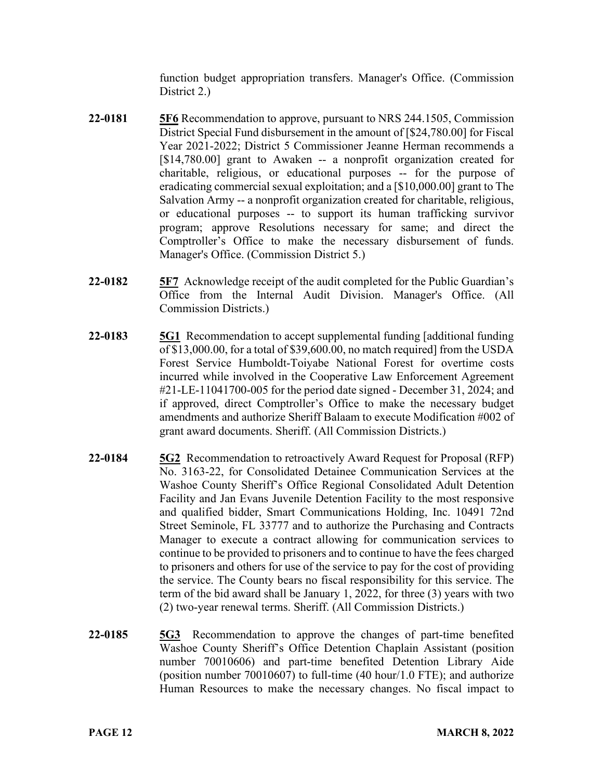function budget appropriation transfers. Manager's Office. (Commission District 2.)

- **22-0181 5F6** Recommendation to approve, pursuant to NRS 244.1505, Commission District Special Fund disbursement in the amount of [\$24,780.00] for Fiscal Year 2021-2022; District 5 Commissioner Jeanne Herman recommends a [\$14,780.00] grant to Awaken -- a nonprofit organization created for charitable, religious, or educational purposes -- for the purpose of eradicating commercial sexual exploitation; and a [\$10,000.00] grant to The Salvation Army -- a nonprofit organization created for charitable, religious, or educational purposes -- to support its human trafficking survivor program; approve Resolutions necessary for same; and direct the Comptroller's Office to make the necessary disbursement of funds. Manager's Office. (Commission District 5.)
- **22-0182 5F7** Acknowledge receipt of the audit completed for the Public Guardian's Office from the Internal Audit Division. Manager's Office. (All Commission Districts.)
- **22-0183 5G1** Recommendation to accept supplemental funding [additional funding of \$13,000.00, for a total of \$39,600.00, no match required] from the USDA Forest Service Humboldt-Toiyabe National Forest for overtime costs incurred while involved in the Cooperative Law Enforcement Agreement #21-LE-11041700-005 for the period date signed - December 31, 2024; and if approved, direct Comptroller's Office to make the necessary budget amendments and authorize Sheriff Balaam to execute Modification #002 of grant award documents. Sheriff. (All Commission Districts.)
- **22-0184 5G2** Recommendation to retroactively Award Request for Proposal (RFP) No. 3163-22, for Consolidated Detainee Communication Services at the Washoe County Sheriff's Office Regional Consolidated Adult Detention Facility and Jan Evans Juvenile Detention Facility to the most responsive and qualified bidder, Smart Communications Holding, Inc. 10491 72nd Street Seminole, FL 33777 and to authorize the Purchasing and Contracts Manager to execute a contract allowing for communication services to continue to be provided to prisoners and to continue to have the fees charged to prisoners and others for use of the service to pay for the cost of providing the service. The County bears no fiscal responsibility for this service. The term of the bid award shall be January 1, 2022, for three (3) years with two (2) two-year renewal terms. Sheriff. (All Commission Districts.)
- **22-0185 5G3** Recommendation to approve the changes of part-time benefited Washoe County Sheriff's Office Detention Chaplain Assistant (position number 70010606) and part-time benefited Detention Library Aide (position number 70010607) to full-time (40 hour/1.0 FTE); and authorize Human Resources to make the necessary changes. No fiscal impact to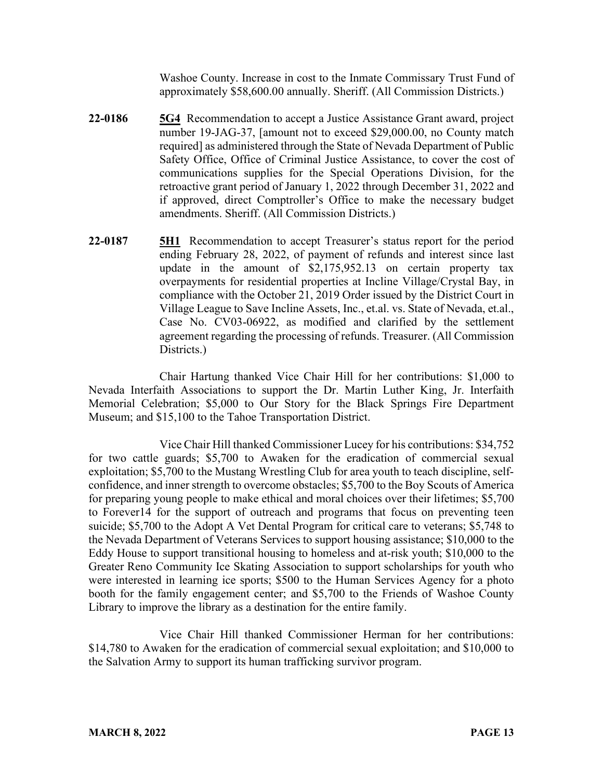Washoe County. Increase in cost to the Inmate Commissary Trust Fund of approximately \$58,600.00 annually. Sheriff. (All Commission Districts.)

- **22-0186 5G4** Recommendation to accept a Justice Assistance Grant award, project number 19-JAG-37, [amount not to exceed \$29,000.00, no County match required] as administered through the State of Nevada Department of Public Safety Office, Office of Criminal Justice Assistance, to cover the cost of communications supplies for the Special Operations Division, for the retroactive grant period of January 1, 2022 through December 31, 2022 and if approved, direct Comptroller's Office to make the necessary budget amendments. Sheriff. (All Commission Districts.)
- **22-0187 5H1** Recommendation to accept Treasurer's status report for the period ending February 28, 2022, of payment of refunds and interest since last update in the amount of \$2,175,952.13 on certain property tax overpayments for residential properties at Incline Village/Crystal Bay, in compliance with the October 21, 2019 Order issued by the District Court in Village League to Save Incline Assets, Inc., et.al. vs. State of Nevada, et.al., Case No. CV03-06922, as modified and clarified by the settlement agreement regarding the processing of refunds. Treasurer. (All Commission Districts.)

Chair Hartung thanked Vice Chair Hill for her contributions: \$1,000 to Nevada Interfaith Associations to support the Dr. Martin Luther King, Jr. Interfaith Memorial Celebration; \$5,000 to Our Story for the Black Springs Fire Department Museum; and \$15,100 to the Tahoe Transportation District.

Vice Chair Hill thanked Commissioner Lucey for his contributions: \$34,752 for two cattle guards; \$5,700 to Awaken for the eradication of commercial sexual exploitation; \$5,700 to the Mustang Wrestling Club for area youth to teach discipline, selfconfidence, and inner strength to overcome obstacles; \$5,700 to the Boy Scouts of America for preparing young people to make ethical and moral choices over their lifetimes; \$5,700 to Forever14 for the support of outreach and programs that focus on preventing teen suicide; \$5,700 to the Adopt A Vet Dental Program for critical care to veterans; \$5,748 to the Nevada Department of Veterans Services to support housing assistance; \$10,000 to the Eddy House to support transitional housing to homeless and at-risk youth; \$10,000 to the Greater Reno Community Ice Skating Association to support scholarships for youth who were interested in learning ice sports; \$500 to the Human Services Agency for a photo booth for the family engagement center; and \$5,700 to the Friends of Washoe County Library to improve the library as a destination for the entire family.

Vice Chair Hill thanked Commissioner Herman for her contributions: \$14,780 to Awaken for the eradication of commercial sexual exploitation; and \$10,000 to the Salvation Army to support its human trafficking survivor program.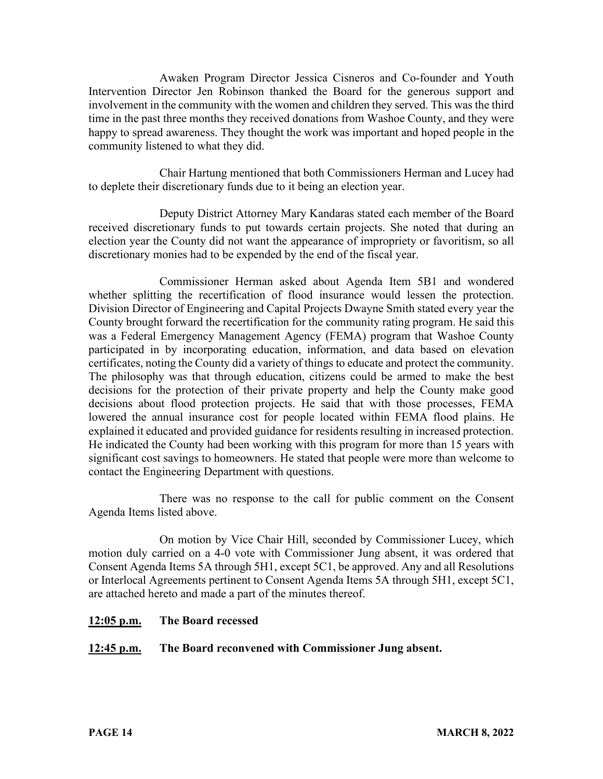Awaken Program Director Jessica Cisneros and Co-founder and Youth Intervention Director Jen Robinson thanked the Board for the generous support and involvement in the community with the women and children they served. This was the third time in the past three months they received donations from Washoe County, and they were happy to spread awareness. They thought the work was important and hoped people in the community listened to what they did.

Chair Hartung mentioned that both Commissioners Herman and Lucey had to deplete their discretionary funds due to it being an election year.

Deputy District Attorney Mary Kandaras stated each member of the Board received discretionary funds to put towards certain projects. She noted that during an election year the County did not want the appearance of impropriety or favoritism, so all discretionary monies had to be expended by the end of the fiscal year.

Commissioner Herman asked about Agenda Item 5B1 and wondered whether splitting the recertification of flood insurance would lessen the protection. Division Director of Engineering and Capital Projects Dwayne Smith stated every year the County brought forward the recertification for the community rating program. He said this was a Federal Emergency Management Agency (FEMA) program that Washoe County participated in by incorporating education, information, and data based on elevation certificates, noting the County did a variety of things to educate and protect the community. The philosophy was that through education, citizens could be armed to make the best decisions for the protection of their private property and help the County make good decisions about flood protection projects. He said that with those processes, FEMA lowered the annual insurance cost for people located within FEMA flood plains. He explained it educated and provided guidance for residents resulting in increased protection. He indicated the County had been working with this program for more than 15 years with significant cost savings to homeowners. He stated that people were more than welcome to contact the Engineering Department with questions.

There was no response to the call for public comment on the Consent Agenda Items listed above.

On motion by Vice Chair Hill, seconded by Commissioner Lucey, which motion duly carried on a 4-0 vote with Commissioner Jung absent, it was ordered that Consent Agenda Items 5A through 5H1, except 5C1, be approved. Any and all Resolutions or Interlocal Agreements pertinent to Consent Agenda Items 5A through 5H1, except 5C1, are attached hereto and made a part of the minutes thereof.

### **12:05 p.m. The Board recessed**

### **12:45 p.m. The Board reconvened with Commissioner Jung absent.**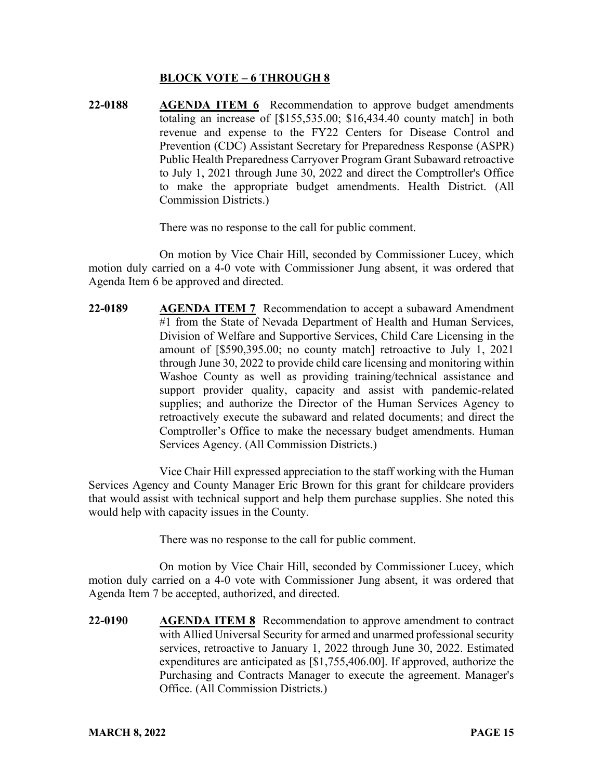#### **BLOCK VOTE – 6 THROUGH 8**

**22-0188 AGENDA ITEM 6** Recommendation to approve budget amendments totaling an increase of [\$155,535.00; \$16,434.40 county match] in both revenue and expense to the FY22 Centers for Disease Control and Prevention (CDC) Assistant Secretary for Preparedness Response (ASPR) Public Health Preparedness Carryover Program Grant Subaward retroactive to July 1, 2021 through June 30, 2022 and direct the Comptroller's Office to make the appropriate budget amendments. Health District. (All Commission Districts.)

There was no response to the call for public comment.

On motion by Vice Chair Hill, seconded by Commissioner Lucey, which motion duly carried on a 4-0 vote with Commissioner Jung absent, it was ordered that Agenda Item 6 be approved and directed.

**22-0189 AGENDA ITEM 7** Recommendation to accept a subaward Amendment #1 from the State of Nevada Department of Health and Human Services, Division of Welfare and Supportive Services, Child Care Licensing in the amount of [\$590,395.00; no county match] retroactive to July 1, 2021 through June 30, 2022 to provide child care licensing and monitoring within Washoe County as well as providing training/technical assistance and support provider quality, capacity and assist with pandemic-related supplies; and authorize the Director of the Human Services Agency to retroactively execute the subaward and related documents; and direct the Comptroller's Office to make the necessary budget amendments. Human Services Agency. (All Commission Districts.)

Vice Chair Hill expressed appreciation to the staff working with the Human Services Agency and County Manager Eric Brown for this grant for childcare providers that would assist with technical support and help them purchase supplies. She noted this would help with capacity issues in the County.

There was no response to the call for public comment.

On motion by Vice Chair Hill, seconded by Commissioner Lucey, which motion duly carried on a 4-0 vote with Commissioner Jung absent, it was ordered that Agenda Item 7 be accepted, authorized, and directed.

**22-0190 AGENDA ITEM 8** Recommendation to approve amendment to contract with Allied Universal Security for armed and unarmed professional security services, retroactive to January 1, 2022 through June 30, 2022. Estimated expenditures are anticipated as [\$1,755,406.00]. If approved, authorize the Purchasing and Contracts Manager to execute the agreement. Manager's Office. (All Commission Districts.)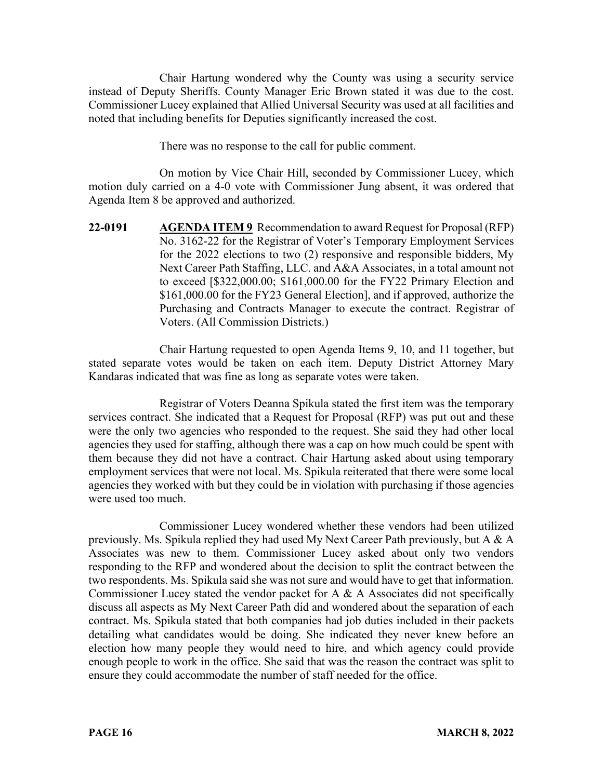Chair Hartung wondered why the County was using a security service instead of Deputy Sheriffs. County Manager Eric Brown stated it was due to the cost. Commissioner Lucey explained that Allied Universal Security was used at all facilities and noted that including benefits for Deputies significantly increased the cost.

There was no response to the call for public comment.

On motion by Vice Chair Hill, seconded by Commissioner Lucey, which motion duly carried on a 4-0 vote with Commissioner Jung absent, it was ordered that Agenda Item 8 be approved and authorized.

**22-0191 AGENDA ITEM 9** Recommendation to award Request for Proposal (RFP) No. 3162-22 for the Registrar of Voter's Temporary Employment Services for the 2022 elections to two (2) responsive and responsible bidders, My Next Career Path Staffing, LLC. and A&A Associates, in a total amount not to exceed [\$322,000.00; \$161,000.00 for the FY22 Primary Election and \$161,000.00 for the FY23 General Election], and if approved, authorize the Purchasing and Contracts Manager to execute the contract. Registrar of Voters. (All Commission Districts.)

Chair Hartung requested to open Agenda Items 9, 10, and 11 together, but stated separate votes would be taken on each item. Deputy District Attorney Mary Kandaras indicated that was fine as long as separate votes were taken.

Registrar of Voters Deanna Spikula stated the first item was the temporary services contract. She indicated that a Request for Proposal (RFP) was put out and these were the only two agencies who responded to the request. She said they had other local agencies they used for staffing, although there was a cap on how much could be spent with them because they did not have a contract. Chair Hartung asked about using temporary employment services that were not local. Ms. Spikula reiterated that there were some local agencies they worked with but they could be in violation with purchasing if those agencies were used too much.

Commissioner Lucey wondered whether these vendors had been utilized previously. Ms. Spikula replied they had used My Next Career Path previously, but A & A Associates was new to them. Commissioner Lucey asked about only two vendors responding to the RFP and wondered about the decision to split the contract between the two respondents. Ms. Spikula said she was not sure and would have to get that information. Commissioner Lucey stated the vendor packet for A & A Associates did not specifically discuss all aspects as My Next Career Path did and wondered about the separation of each contract. Ms. Spikula stated that both companies had job duties included in their packets detailing what candidates would be doing. She indicated they never knew before an election how many people they would need to hire, and which agency could provide enough people to work in the office. She said that was the reason the contract was split to ensure they could accommodate the number of staff needed for the office.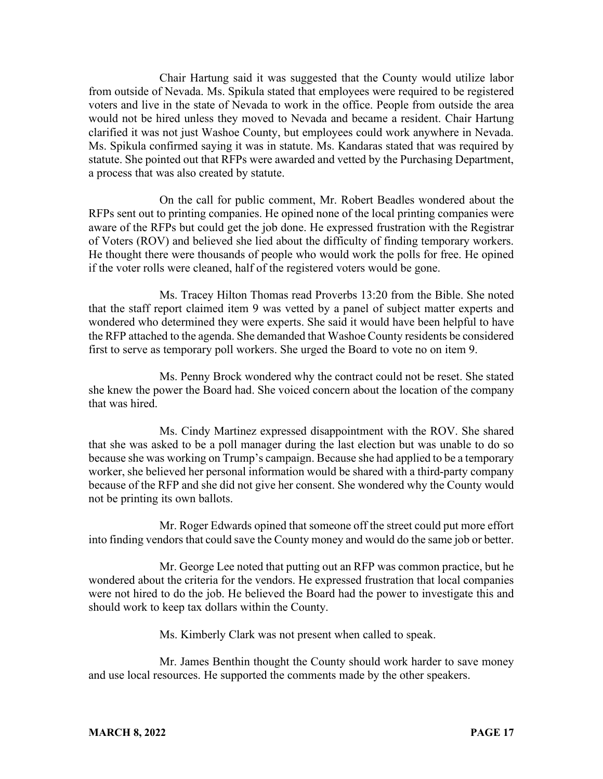Chair Hartung said it was suggested that the County would utilize labor from outside of Nevada. Ms. Spikula stated that employees were required to be registered voters and live in the state of Nevada to work in the office. People from outside the area would not be hired unless they moved to Nevada and became a resident. Chair Hartung clarified it was not just Washoe County, but employees could work anywhere in Nevada. Ms. Spikula confirmed saying it was in statute. Ms. Kandaras stated that was required by statute. She pointed out that RFPs were awarded and vetted by the Purchasing Department, a process that was also created by statute.

On the call for public comment, Mr. Robert Beadles wondered about the RFPs sent out to printing companies. He opined none of the local printing companies were aware of the RFPs but could get the job done. He expressed frustration with the Registrar of Voters (ROV) and believed she lied about the difficulty of finding temporary workers. He thought there were thousands of people who would work the polls for free. He opined if the voter rolls were cleaned, half of the registered voters would be gone.

Ms. Tracey Hilton Thomas read Proverbs 13:20 from the Bible. She noted that the staff report claimed item 9 was vetted by a panel of subject matter experts and wondered who determined they were experts. She said it would have been helpful to have the RFP attached to the agenda. She demanded that Washoe County residents be considered first to serve as temporary poll workers. She urged the Board to vote no on item 9.

Ms. Penny Brock wondered why the contract could not be reset. She stated she knew the power the Board had. She voiced concern about the location of the company that was hired.

Ms. Cindy Martinez expressed disappointment with the ROV. She shared that she was asked to be a poll manager during the last election but was unable to do so because she was working on Trump's campaign. Because she had applied to be a temporary worker, she believed her personal information would be shared with a third-party company because of the RFP and she did not give her consent. She wondered why the County would not be printing its own ballots.

Mr. Roger Edwards opined that someone off the street could put more effort into finding vendors that could save the County money and would do the same job or better.

Mr. George Lee noted that putting out an RFP was common practice, but he wondered about the criteria for the vendors. He expressed frustration that local companies were not hired to do the job. He believed the Board had the power to investigate this and should work to keep tax dollars within the County.

Ms. Kimberly Clark was not present when called to speak.

Mr. James Benthin thought the County should work harder to save money and use local resources. He supported the comments made by the other speakers.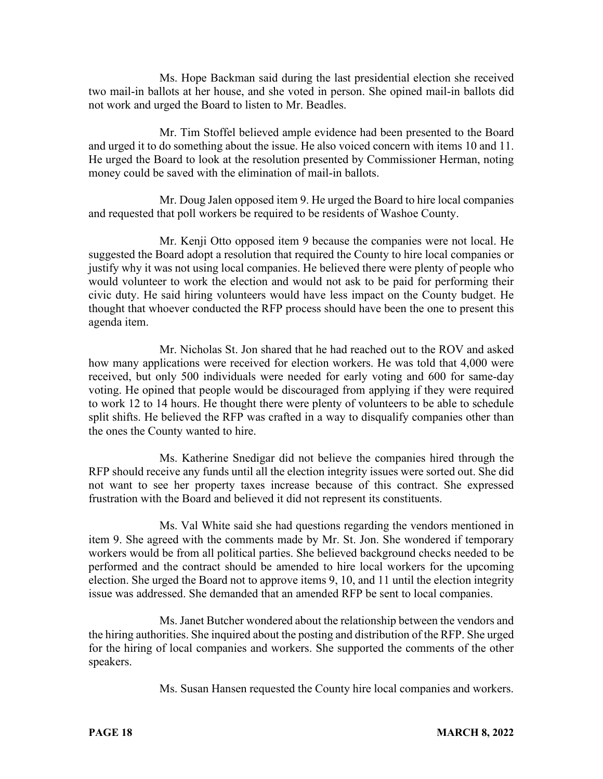Ms. Hope Backman said during the last presidential election she received two mail-in ballots at her house, and she voted in person. She opined mail-in ballots did not work and urged the Board to listen to Mr. Beadles.

Mr. Tim Stoffel believed ample evidence had been presented to the Board and urged it to do something about the issue. He also voiced concern with items 10 and 11. He urged the Board to look at the resolution presented by Commissioner Herman, noting money could be saved with the elimination of mail-in ballots.

Mr. Doug Jalen opposed item 9. He urged the Board to hire local companies and requested that poll workers be required to be residents of Washoe County.

Mr. Kenji Otto opposed item 9 because the companies were not local. He suggested the Board adopt a resolution that required the County to hire local companies or justify why it was not using local companies. He believed there were plenty of people who would volunteer to work the election and would not ask to be paid for performing their civic duty. He said hiring volunteers would have less impact on the County budget. He thought that whoever conducted the RFP process should have been the one to present this agenda item.

Mr. Nicholas St. Jon shared that he had reached out to the ROV and asked how many applications were received for election workers. He was told that 4,000 were received, but only 500 individuals were needed for early voting and 600 for same-day voting. He opined that people would be discouraged from applying if they were required to work 12 to 14 hours. He thought there were plenty of volunteers to be able to schedule split shifts. He believed the RFP was crafted in a way to disqualify companies other than the ones the County wanted to hire.

Ms. Katherine Snedigar did not believe the companies hired through the RFP should receive any funds until all the election integrity issues were sorted out. She did not want to see her property taxes increase because of this contract. She expressed frustration with the Board and believed it did not represent its constituents.

Ms. Val White said she had questions regarding the vendors mentioned in item 9. She agreed with the comments made by Mr. St. Jon. She wondered if temporary workers would be from all political parties. She believed background checks needed to be performed and the contract should be amended to hire local workers for the upcoming election. She urged the Board not to approve items 9, 10, and 11 until the election integrity issue was addressed. She demanded that an amended RFP be sent to local companies.

Ms. Janet Butcher wondered about the relationship between the vendors and the hiring authorities. She inquired about the posting and distribution of the RFP. She urged for the hiring of local companies and workers. She supported the comments of the other speakers.

Ms. Susan Hansen requested the County hire local companies and workers.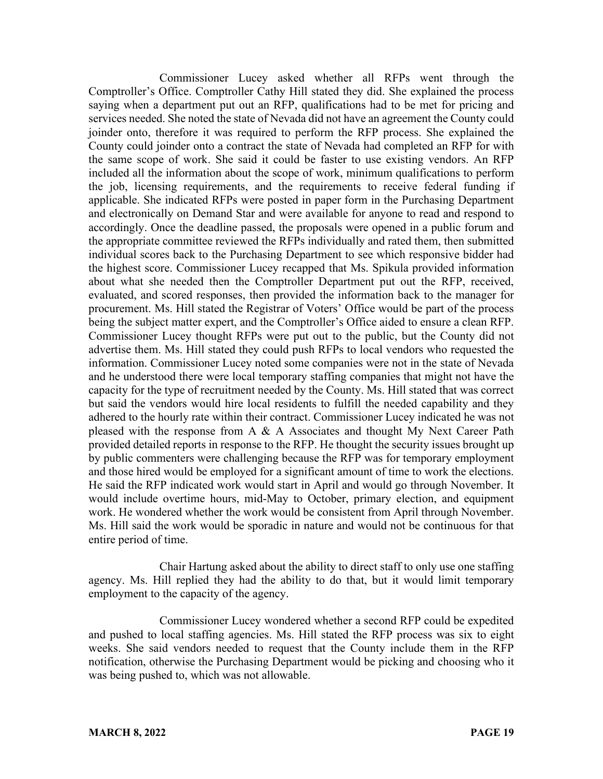Commissioner Lucey asked whether all RFPs went through the Comptroller's Office. Comptroller Cathy Hill stated they did. She explained the process saying when a department put out an RFP, qualifications had to be met for pricing and services needed. She noted the state of Nevada did not have an agreement the County could joinder onto, therefore it was required to perform the RFP process. She explained the County could joinder onto a contract the state of Nevada had completed an RFP for with the same scope of work. She said it could be faster to use existing vendors. An RFP included all the information about the scope of work, minimum qualifications to perform the job, licensing requirements, and the requirements to receive federal funding if applicable. She indicated RFPs were posted in paper form in the Purchasing Department and electronically on Demand Star and were available for anyone to read and respond to accordingly. Once the deadline passed, the proposals were opened in a public forum and the appropriate committee reviewed the RFPs individually and rated them, then submitted individual scores back to the Purchasing Department to see which responsive bidder had the highest score. Commissioner Lucey recapped that Ms. Spikula provided information about what she needed then the Comptroller Department put out the RFP, received, evaluated, and scored responses, then provided the information back to the manager for procurement. Ms. Hill stated the Registrar of Voters' Office would be part of the process being the subject matter expert, and the Comptroller's Office aided to ensure a clean RFP. Commissioner Lucey thought RFPs were put out to the public, but the County did not advertise them. Ms. Hill stated they could push RFPs to local vendors who requested the information. Commissioner Lucey noted some companies were not in the state of Nevada and he understood there were local temporary staffing companies that might not have the capacity for the type of recruitment needed by the County. Ms. Hill stated that was correct but said the vendors would hire local residents to fulfill the needed capability and they adhered to the hourly rate within their contract. Commissioner Lucey indicated he was not pleased with the response from A  $\&$  A Associates and thought My Next Career Path provided detailed reports in response to the RFP. He thought the security issues brought up by public commenters were challenging because the RFP was for temporary employment and those hired would be employed for a significant amount of time to work the elections. He said the RFP indicated work would start in April and would go through November. It would include overtime hours, mid-May to October, primary election, and equipment work. He wondered whether the work would be consistent from April through November. Ms. Hill said the work would be sporadic in nature and would not be continuous for that entire period of time.

Chair Hartung asked about the ability to direct staff to only use one staffing agency. Ms. Hill replied they had the ability to do that, but it would limit temporary employment to the capacity of the agency.

Commissioner Lucey wondered whether a second RFP could be expedited and pushed to local staffing agencies. Ms. Hill stated the RFP process was six to eight weeks. She said vendors needed to request that the County include them in the RFP notification, otherwise the Purchasing Department would be picking and choosing who it was being pushed to, which was not allowable.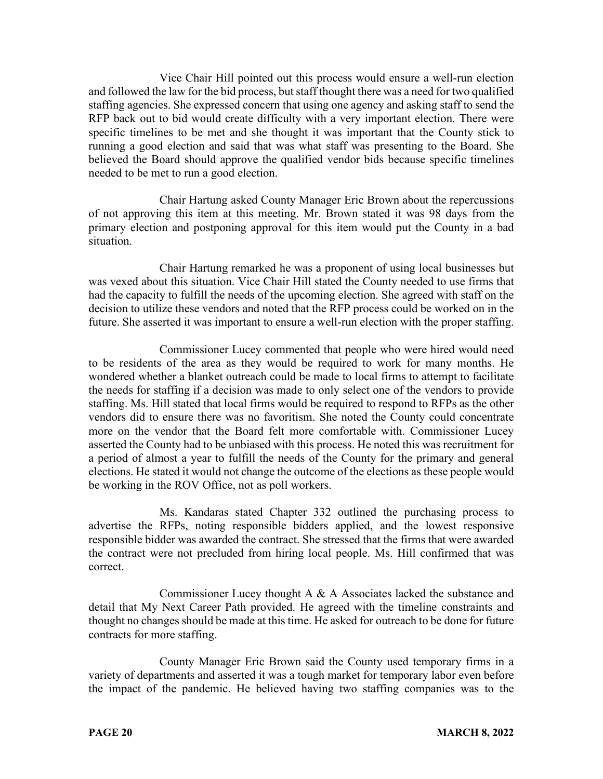Vice Chair Hill pointed out this process would ensure a well-run election and followed the law for the bid process, but staff thought there was a need for two qualified staffing agencies. She expressed concern that using one agency and asking staff to send the RFP back out to bid would create difficulty with a very important election. There were specific timelines to be met and she thought it was important that the County stick to running a good election and said that was what staff was presenting to the Board. She believed the Board should approve the qualified vendor bids because specific timelines needed to be met to run a good election.

Chair Hartung asked County Manager Eric Brown about the repercussions of not approving this item at this meeting. Mr. Brown stated it was 98 days from the primary election and postponing approval for this item would put the County in a bad situation.

Chair Hartung remarked he was a proponent of using local businesses but was vexed about this situation. Vice Chair Hill stated the County needed to use firms that had the capacity to fulfill the needs of the upcoming election. She agreed with staff on the decision to utilize these vendors and noted that the RFP process could be worked on in the future. She asserted it was important to ensure a well-run election with the proper staffing.

Commissioner Lucey commented that people who were hired would need to be residents of the area as they would be required to work for many months. He wondered whether a blanket outreach could be made to local firms to attempt to facilitate the needs for staffing if a decision was made to only select one of the vendors to provide staffing. Ms. Hill stated that local firms would be required to respond to RFPs as the other vendors did to ensure there was no favoritism. She noted the County could concentrate more on the vendor that the Board felt more comfortable with. Commissioner Lucey asserted the County had to be unbiased with this process. He noted this was recruitment for a period of almost a year to fulfill the needs of the County for the primary and general elections. He stated it would not change the outcome of the elections as these people would be working in the ROV Office, not as poll workers.

Ms. Kandaras stated Chapter 332 outlined the purchasing process to advertise the RFPs, noting responsible bidders applied, and the lowest responsive responsible bidder was awarded the contract. She stressed that the firms that were awarded the contract were not precluded from hiring local people. Ms. Hill confirmed that was correct.

Commissioner Lucey thought A & A Associates lacked the substance and detail that My Next Career Path provided. He agreed with the timeline constraints and thought no changes should be made at this time. He asked for outreach to be done for future contracts for more staffing.

County Manager Eric Brown said the County used temporary firms in a variety of departments and asserted it was a tough market for temporary labor even before the impact of the pandemic. He believed having two staffing companies was to the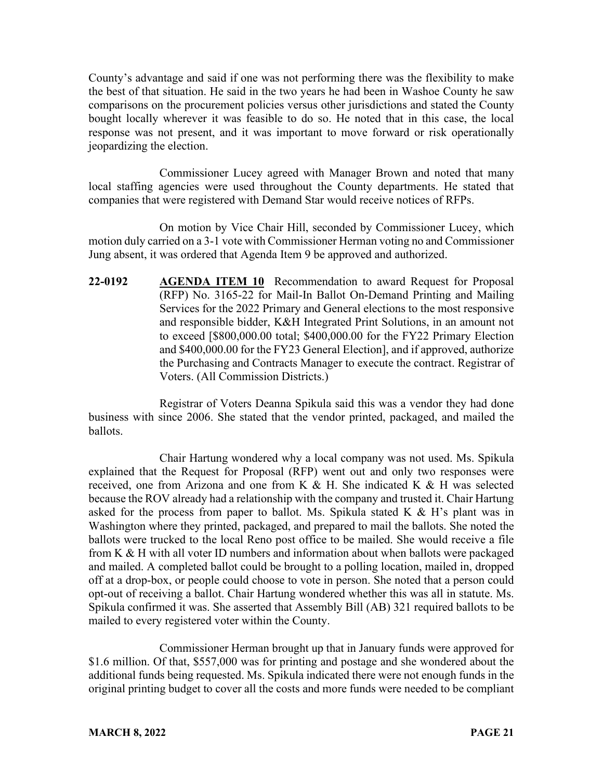County's advantage and said if one was not performing there was the flexibility to make the best of that situation. He said in the two years he had been in Washoe County he saw comparisons on the procurement policies versus other jurisdictions and stated the County bought locally wherever it was feasible to do so. He noted that in this case, the local response was not present, and it was important to move forward or risk operationally jeopardizing the election.

Commissioner Lucey agreed with Manager Brown and noted that many local staffing agencies were used throughout the County departments. He stated that companies that were registered with Demand Star would receive notices of RFPs.

On motion by Vice Chair Hill, seconded by Commissioner Lucey, which motion duly carried on a 3-1 vote with Commissioner Herman voting no and Commissioner Jung absent, it was ordered that Agenda Item 9 be approved and authorized.

**22-0192 AGENDA ITEM 10** Recommendation to award Request for Proposal (RFP) No. 3165-22 for Mail-In Ballot On-Demand Printing and Mailing Services for the 2022 Primary and General elections to the most responsive and responsible bidder, K&H Integrated Print Solutions, in an amount not to exceed [\$800,000.00 total; \$400,000.00 for the FY22 Primary Election and \$400,000.00 for the FY23 General Election], and if approved, authorize the Purchasing and Contracts Manager to execute the contract. Registrar of Voters. (All Commission Districts.)

Registrar of Voters Deanna Spikula said this was a vendor they had done business with since 2006. She stated that the vendor printed, packaged, and mailed the ballots.

Chair Hartung wondered why a local company was not used. Ms. Spikula explained that the Request for Proposal (RFP) went out and only two responses were received, one from Arizona and one from K & H. She indicated K & H was selected because the ROV already had a relationship with the company and trusted it. Chair Hartung asked for the process from paper to ballot. Ms. Spikula stated  $K \& H$ 's plant was in Washington where they printed, packaged, and prepared to mail the ballots. She noted the ballots were trucked to the local Reno post office to be mailed. She would receive a file from K & H with all voter ID numbers and information about when ballots were packaged and mailed. A completed ballot could be brought to a polling location, mailed in, dropped off at a drop-box, or people could choose to vote in person. She noted that a person could opt-out of receiving a ballot. Chair Hartung wondered whether this was all in statute. Ms. Spikula confirmed it was. She asserted that Assembly Bill (AB) 321 required ballots to be mailed to every registered voter within the County.

Commissioner Herman brought up that in January funds were approved for \$1.6 million. Of that, \$557,000 was for printing and postage and she wondered about the additional funds being requested. Ms. Spikula indicated there were not enough funds in the original printing budget to cover all the costs and more funds were needed to be compliant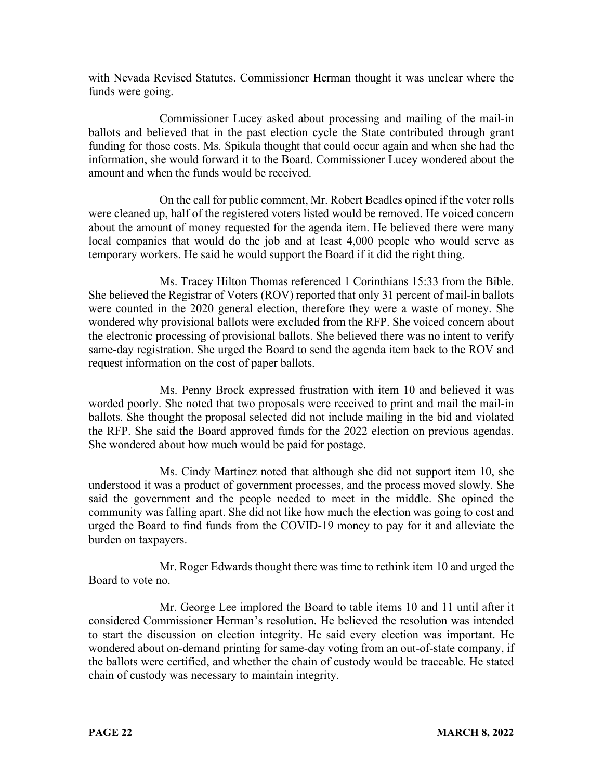with Nevada Revised Statutes. Commissioner Herman thought it was unclear where the funds were going.

Commissioner Lucey asked about processing and mailing of the mail-in ballots and believed that in the past election cycle the State contributed through grant funding for those costs. Ms. Spikula thought that could occur again and when she had the information, she would forward it to the Board. Commissioner Lucey wondered about the amount and when the funds would be received.

On the call for public comment, Mr. Robert Beadles opined if the voter rolls were cleaned up, half of the registered voters listed would be removed. He voiced concern about the amount of money requested for the agenda item. He believed there were many local companies that would do the job and at least 4,000 people who would serve as temporary workers. He said he would support the Board if it did the right thing.

Ms. Tracey Hilton Thomas referenced 1 Corinthians 15:33 from the Bible. She believed the Registrar of Voters (ROV) reported that only 31 percent of mail-in ballots were counted in the 2020 general election, therefore they were a waste of money. She wondered why provisional ballots were excluded from the RFP. She voiced concern about the electronic processing of provisional ballots. She believed there was no intent to verify same-day registration. She urged the Board to send the agenda item back to the ROV and request information on the cost of paper ballots.

Ms. Penny Brock expressed frustration with item 10 and believed it was worded poorly. She noted that two proposals were received to print and mail the mail-in ballots. She thought the proposal selected did not include mailing in the bid and violated the RFP. She said the Board approved funds for the 2022 election on previous agendas. She wondered about how much would be paid for postage.

Ms. Cindy Martinez noted that although she did not support item 10, she understood it was a product of government processes, and the process moved slowly. She said the government and the people needed to meet in the middle. She opined the community was falling apart. She did not like how much the election was going to cost and urged the Board to find funds from the COVID-19 money to pay for it and alleviate the burden on taxpayers.

Mr. Roger Edwards thought there was time to rethink item 10 and urged the Board to vote no.

Mr. George Lee implored the Board to table items 10 and 11 until after it considered Commissioner Herman's resolution. He believed the resolution was intended to start the discussion on election integrity. He said every election was important. He wondered about on-demand printing for same-day voting from an out-of-state company, if the ballots were certified, and whether the chain of custody would be traceable. He stated chain of custody was necessary to maintain integrity.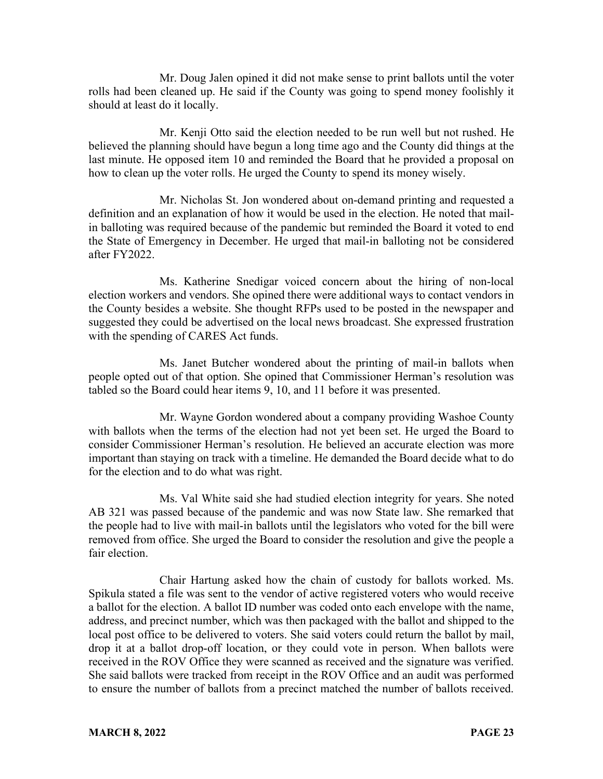Mr. Doug Jalen opined it did not make sense to print ballots until the voter rolls had been cleaned up. He said if the County was going to spend money foolishly it should at least do it locally.

Mr. Kenji Otto said the election needed to be run well but not rushed. He believed the planning should have begun a long time ago and the County did things at the last minute. He opposed item 10 and reminded the Board that he provided a proposal on how to clean up the voter rolls. He urged the County to spend its money wisely.

Mr. Nicholas St. Jon wondered about on-demand printing and requested a definition and an explanation of how it would be used in the election. He noted that mailin balloting was required because of the pandemic but reminded the Board it voted to end the State of Emergency in December. He urged that mail-in balloting not be considered after FY2022.

Ms. Katherine Snedigar voiced concern about the hiring of non-local election workers and vendors. She opined there were additional ways to contact vendors in the County besides a website. She thought RFPs used to be posted in the newspaper and suggested they could be advertised on the local news broadcast. She expressed frustration with the spending of CARES Act funds.

Ms. Janet Butcher wondered about the printing of mail-in ballots when people opted out of that option. She opined that Commissioner Herman's resolution was tabled so the Board could hear items 9, 10, and 11 before it was presented.

Mr. Wayne Gordon wondered about a company providing Washoe County with ballots when the terms of the election had not yet been set. He urged the Board to consider Commissioner Herman's resolution. He believed an accurate election was more important than staying on track with a timeline. He demanded the Board decide what to do for the election and to do what was right.

Ms. Val White said she had studied election integrity for years. She noted AB 321 was passed because of the pandemic and was now State law. She remarked that the people had to live with mail-in ballots until the legislators who voted for the bill were removed from office. She urged the Board to consider the resolution and give the people a fair election.

Chair Hartung asked how the chain of custody for ballots worked. Ms. Spikula stated a file was sent to the vendor of active registered voters who would receive a ballot for the election. A ballot ID number was coded onto each envelope with the name, address, and precinct number, which was then packaged with the ballot and shipped to the local post office to be delivered to voters. She said voters could return the ballot by mail, drop it at a ballot drop-off location, or they could vote in person. When ballots were received in the ROV Office they were scanned as received and the signature was verified. She said ballots were tracked from receipt in the ROV Office and an audit was performed to ensure the number of ballots from a precinct matched the number of ballots received.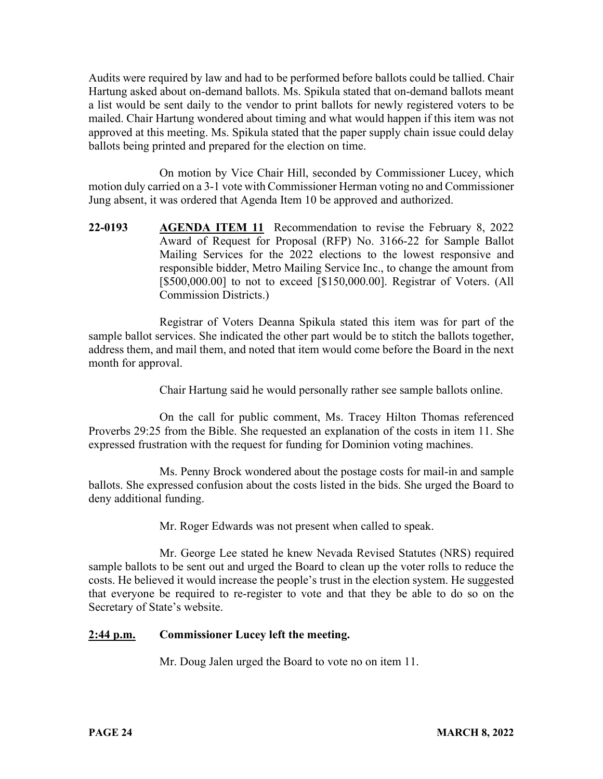Audits were required by law and had to be performed before ballots could be tallied. Chair Hartung asked about on-demand ballots. Ms. Spikula stated that on-demand ballots meant a list would be sent daily to the vendor to print ballots for newly registered voters to be mailed. Chair Hartung wondered about timing and what would happen if this item was not approved at this meeting. Ms. Spikula stated that the paper supply chain issue could delay ballots being printed and prepared for the election on time.

On motion by Vice Chair Hill, seconded by Commissioner Lucey, which motion duly carried on a 3-1 vote with Commissioner Herman voting no and Commissioner Jung absent, it was ordered that Agenda Item 10 be approved and authorized.

**22-0193 AGENDA ITEM 11** Recommendation to revise the February 8, 2022 Award of Request for Proposal (RFP) No. 3166-22 for Sample Ballot Mailing Services for the 2022 elections to the lowest responsive and responsible bidder, Metro Mailing Service Inc., to change the amount from [\$500,000.00] to not to exceed [\$150,000.00]. Registrar of Voters. (All Commission Districts.)

Registrar of Voters Deanna Spikula stated this item was for part of the sample ballot services. She indicated the other part would be to stitch the ballots together, address them, and mail them, and noted that item would come before the Board in the next month for approval.

Chair Hartung said he would personally rather see sample ballots online.

On the call for public comment, Ms. Tracey Hilton Thomas referenced Proverbs 29:25 from the Bible. She requested an explanation of the costs in item 11. She expressed frustration with the request for funding for Dominion voting machines.

Ms. Penny Brock wondered about the postage costs for mail-in and sample ballots. She expressed confusion about the costs listed in the bids. She urged the Board to deny additional funding.

Mr. Roger Edwards was not present when called to speak.

Mr. George Lee stated he knew Nevada Revised Statutes (NRS) required sample ballots to be sent out and urged the Board to clean up the voter rolls to reduce the costs. He believed it would increase the people's trust in the election system. He suggested that everyone be required to re-register to vote and that they be able to do so on the Secretary of State's website.

# **2:44 p.m. Commissioner Lucey left the meeting.**

Mr. Doug Jalen urged the Board to vote no on item 11.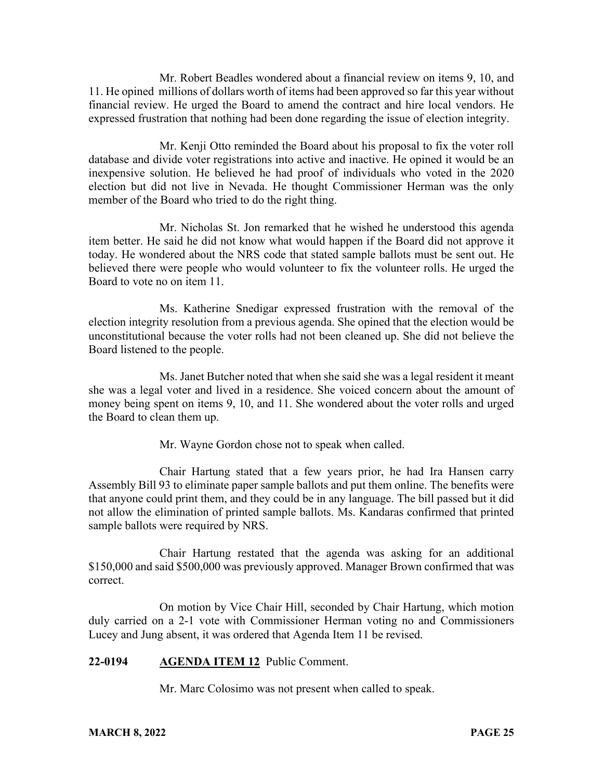Mr. Robert Beadles wondered about a financial review on items 9, 10, and 11. He opined millions of dollars worth of items had been approved so far this year without financial review. He urged the Board to amend the contract and hire local vendors. He expressed frustration that nothing had been done regarding the issue of election integrity.

Mr. Kenji Otto reminded the Board about his proposal to fix the voter roll database and divide voter registrations into active and inactive. He opined it would be an inexpensive solution. He believed he had proof of individuals who voted in the 2020 election but did not live in Nevada. He thought Commissioner Herman was the only member of the Board who tried to do the right thing.

Mr. Nicholas St. Jon remarked that he wished he understood this agenda item better. He said he did not know what would happen if the Board did not approve it today. He wondered about the NRS code that stated sample ballots must be sent out. He believed there were people who would volunteer to fix the volunteer rolls. He urged the Board to vote no on item 11.

Ms. Katherine Snedigar expressed frustration with the removal of the election integrity resolution from a previous agenda. She opined that the election would be unconstitutional because the voter rolls had not been cleaned up. She did not believe the Board listened to the people.

Ms. Janet Butcher noted that when she said she was a legal resident it meant she was a legal voter and lived in a residence. She voiced concern about the amount of money being spent on items 9, 10, and 11. She wondered about the voter rolls and urged the Board to clean them up.

Mr. Wayne Gordon chose not to speak when called.

Chair Hartung stated that a few years prior, he had Ira Hansen carry Assembly Bill 93 to eliminate paper sample ballots and put them online. The benefits were that anyone could print them, and they could be in any language. The bill passed but it did not allow the elimination of printed sample ballots. Ms. Kandaras confirmed that printed sample ballots were required by NRS.

Chair Hartung restated that the agenda was asking for an additional \$150,000 and said \$500,000 was previously approved. Manager Brown confirmed that was correct.

On motion by Vice Chair Hill, seconded by Chair Hartung, which motion duly carried on a 2-1 vote with Commissioner Herman voting no and Commissioners Lucey and Jung absent, it was ordered that Agenda Item 11 be revised.

### **22-0194 AGENDA ITEM 12** Public Comment.

Mr. Marc Colosimo was not present when called to speak.

#### **MARCH 8, 2022** PAGE 25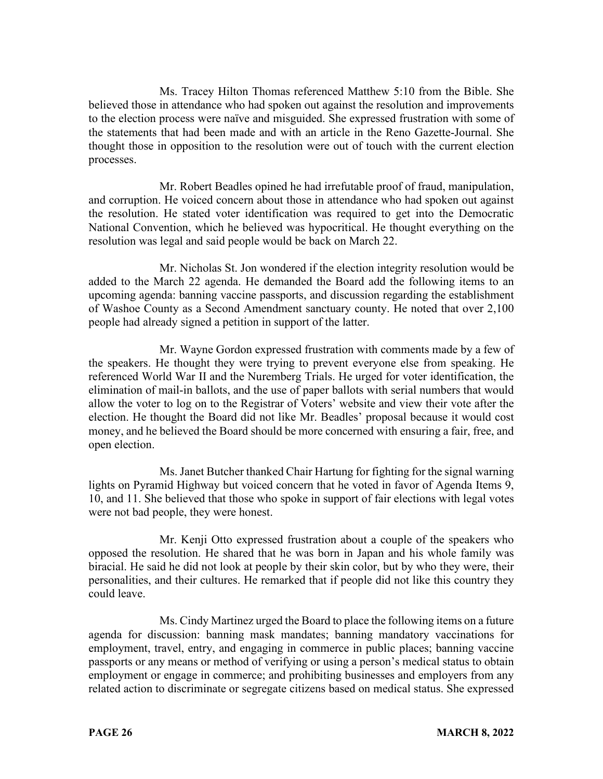Ms. Tracey Hilton Thomas referenced Matthew 5:10 from the Bible. She believed those in attendance who had spoken out against the resolution and improvements to the election process were naïve and misguided. She expressed frustration with some of the statements that had been made and with an article in the Reno Gazette-Journal. She thought those in opposition to the resolution were out of touch with the current election processes.

Mr. Robert Beadles opined he had irrefutable proof of fraud, manipulation, and corruption. He voiced concern about those in attendance who had spoken out against the resolution. He stated voter identification was required to get into the Democratic National Convention, which he believed was hypocritical. He thought everything on the resolution was legal and said people would be back on March 22.

Mr. Nicholas St. Jon wondered if the election integrity resolution would be added to the March 22 agenda. He demanded the Board add the following items to an upcoming agenda: banning vaccine passports, and discussion regarding the establishment of Washoe County as a Second Amendment sanctuary county. He noted that over 2,100 people had already signed a petition in support of the latter.

Mr. Wayne Gordon expressed frustration with comments made by a few of the speakers. He thought they were trying to prevent everyone else from speaking. He referenced World War II and the Nuremberg Trials. He urged for voter identification, the elimination of mail-in ballots, and the use of paper ballots with serial numbers that would allow the voter to log on to the Registrar of Voters' website and view their vote after the election. He thought the Board did not like Mr. Beadles' proposal because it would cost money, and he believed the Board should be more concerned with ensuring a fair, free, and open election.

Ms. Janet Butcher thanked Chair Hartung for fighting for the signal warning lights on Pyramid Highway but voiced concern that he voted in favor of Agenda Items 9, 10, and 11. She believed that those who spoke in support of fair elections with legal votes were not bad people, they were honest.

Mr. Kenji Otto expressed frustration about a couple of the speakers who opposed the resolution. He shared that he was born in Japan and his whole family was biracial. He said he did not look at people by their skin color, but by who they were, their personalities, and their cultures. He remarked that if people did not like this country they could leave.

Ms. Cindy Martinez urged the Board to place the following items on a future agenda for discussion: banning mask mandates; banning mandatory vaccinations for employment, travel, entry, and engaging in commerce in public places; banning vaccine passports or any means or method of verifying or using a person's medical status to obtain employment or engage in commerce; and prohibiting businesses and employers from any related action to discriminate or segregate citizens based on medical status. She expressed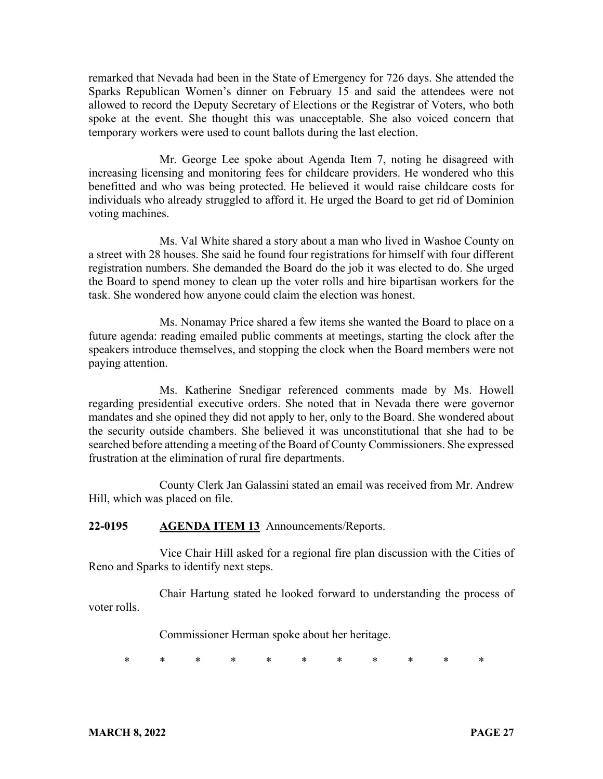remarked that Nevada had been in the State of Emergency for 726 days. She attended the Sparks Republican Women's dinner on February 15 and said the attendees were not allowed to record the Deputy Secretary of Elections or the Registrar of Voters, who both spoke at the event. She thought this was unacceptable. She also voiced concern that temporary workers were used to count ballots during the last election.

Mr. George Lee spoke about Agenda Item 7, noting he disagreed with increasing licensing and monitoring fees for childcare providers. He wondered who this benefitted and who was being protected. He believed it would raise childcare costs for individuals who already struggled to afford it. He urged the Board to get rid of Dominion voting machines.

Ms. Val White shared a story about a man who lived in Washoe County on a street with 28 houses. She said he found four registrations for himself with four different registration numbers. She demanded the Board do the job it was elected to do. She urged the Board to spend money to clean up the voter rolls and hire bipartisan workers for the task. She wondered how anyone could claim the election was honest.

Ms. Nonamay Price shared a few items she wanted the Board to place on a future agenda: reading emailed public comments at meetings, starting the clock after the speakers introduce themselves, and stopping the clock when the Board members were not paying attention.

Ms. Katherine Snedigar referenced comments made by Ms. Howell regarding presidential executive orders. She noted that in Nevada there were governor mandates and she opined they did not apply to her, only to the Board. She wondered about the security outside chambers. She believed it was unconstitutional that she had to be searched before attending a meeting of the Board of County Commissioners. She expressed frustration at the elimination of rural fire departments.

County Clerk Jan Galassini stated an email was received from Mr. Andrew Hill, which was placed on file.

### **22-0195 AGENDA ITEM 13** Announcements/Reports.

Vice Chair Hill asked for a regional fire plan discussion with the Cities of Reno and Sparks to identify next steps.

Chair Hartung stated he looked forward to understanding the process of voter rolls.

Commissioner Herman spoke about her heritage.

\* \* \* \* \* \* \* \* \* \* \*